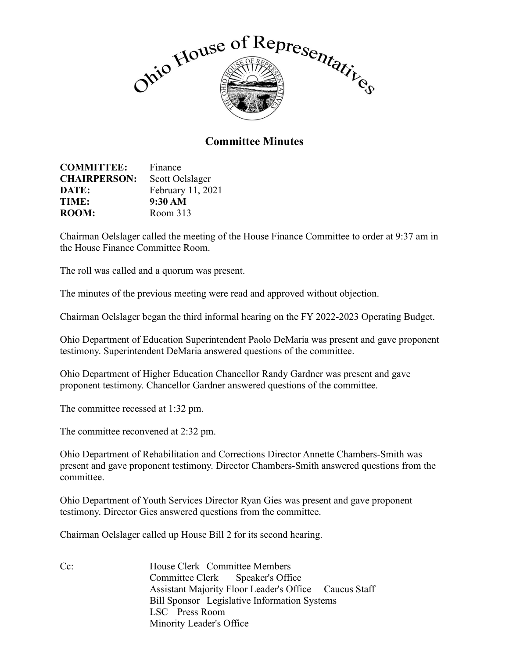

## **Committee Minutes**

| <b>COMMITTEE:</b>   | Finance           |
|---------------------|-------------------|
| <b>CHAIRPERSON:</b> | Scott Oelslager   |
| DATE:               | February 11, 2021 |
| TIME:               | 9:30 AM           |
| <b>ROOM:</b>        | Room 313          |

Chairman Oelslager called the meeting of the House Finance Committee to order at 9:37 am in the House Finance Committee Room.

The roll was called and a quorum was present.

The minutes of the previous meeting were read and approved without objection.

Chairman Oelslager began the third informal hearing on the FY 2022-2023 Operating Budget.

Ohio Department of Education Superintendent Paolo DeMaria was present and gave proponent testimony. Superintendent DeMaria answered questions of the committee.

Ohio Department of Higher Education Chancellor Randy Gardner was present and gave proponent testimony. Chancellor Gardner answered questions of the committee.

The committee recessed at 1:32 pm.

The committee reconvened at 2:32 pm.

Ohio Department of Rehabilitation and Corrections Director Annette Chambers-Smith was present and gave proponent testimony. Director Chambers-Smith answered questions from the committee.

Ohio Department of Youth Services Director Ryan Gies was present and gave proponent testimony. Director Gies answered questions from the committee.

Chairman Oelslager called up House Bill 2 for its second hearing.

Cc: House Clerk Committee Members Committee Clerk Speaker's Office Assistant Majority Floor Leader's Office Caucus Staff Bill Sponsor Legislative Information Systems LSC Press Room Minority Leader's Office